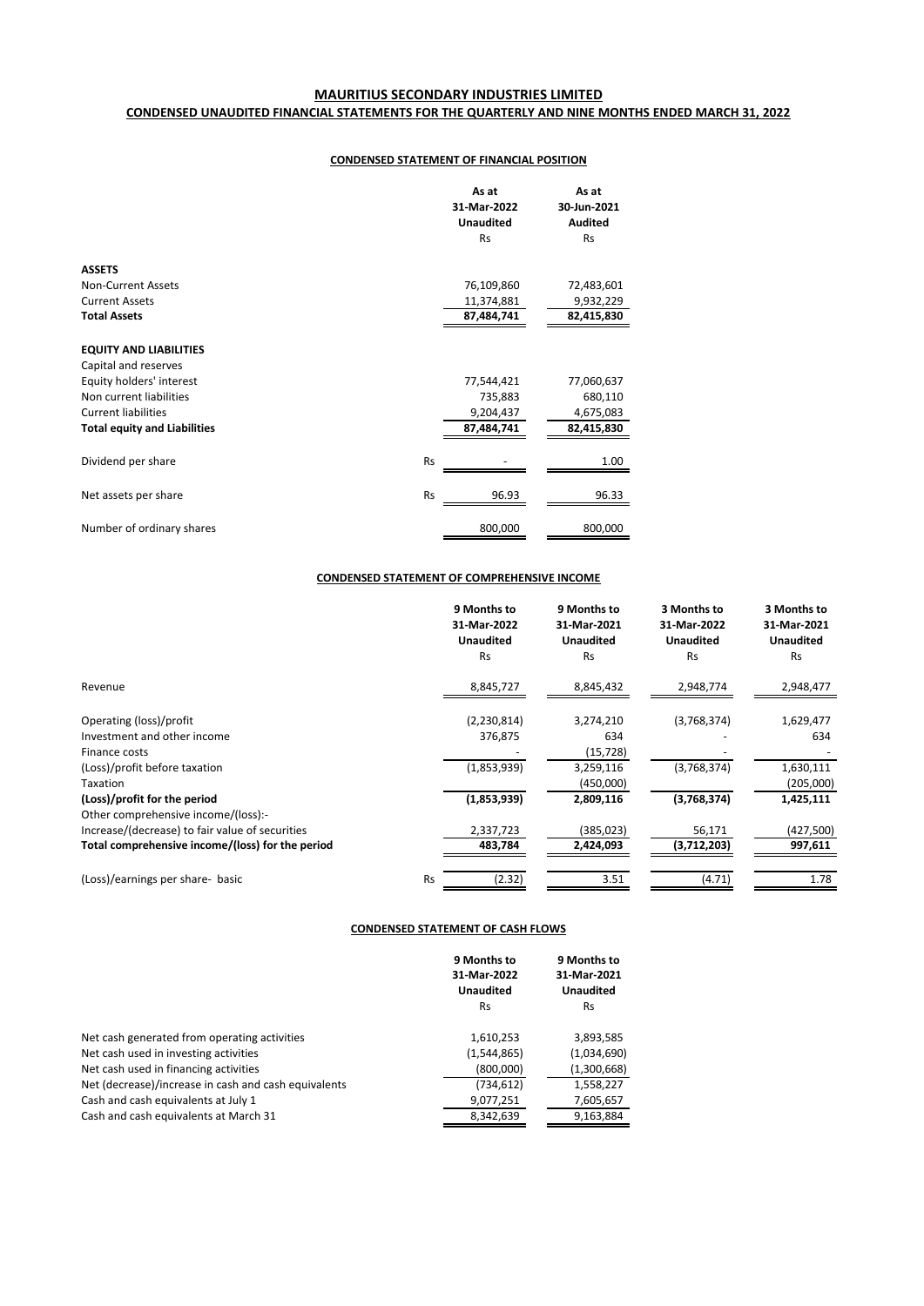# **MAURITIUS SECONDARY INDUSTRIES LIMITED CONDENSED UNAUDITED FINANCIAL STATEMENTS FOR THE QUARTERLY AND NINE MONTHS ENDED MARCH 31, 2022**

## **CONDENSED STATEMENT OF FINANCIAL POSITION**

|                                     | As at<br>31-Mar-2022<br><b>Unaudited</b><br><b>Rs</b> | As at<br>30-Jun-2021<br><b>Audited</b><br><b>Rs</b> |
|-------------------------------------|-------------------------------------------------------|-----------------------------------------------------|
|                                     |                                                       |                                                     |
| <b>ASSETS</b>                       |                                                       |                                                     |
| <b>Non-Current Assets</b>           | 76,109,860                                            | 72,483,601                                          |
| <b>Current Assets</b>               | 11,374,881                                            | 9,932,229                                           |
| <b>Total Assets</b>                 | 87,484,741                                            | 82,415,830                                          |
|                                     |                                                       |                                                     |
| <b>EQUITY AND LIABILITIES</b>       |                                                       |                                                     |
| Capital and reserves                |                                                       |                                                     |
| Equity holders' interest            | 77,544,421                                            | 77,060,637                                          |
| Non current liabilities             | 735,883                                               | 680,110                                             |
| <b>Current liabilities</b>          | 9,204,437                                             | 4,675,083                                           |
| <b>Total equity and Liabilities</b> | 87,484,741                                            | 82,415,830                                          |
|                                     |                                                       |                                                     |
| Dividend per share                  | <b>Rs</b>                                             | 1.00                                                |
|                                     |                                                       |                                                     |
| Net assets per share                | <b>Rs</b><br>96.93                                    | 96.33                                               |
|                                     |                                                       |                                                     |
| Number of ordinary shares           | 800,000                                               | 800,000                                             |

## **CONDENSED STATEMENT OF COMPREHENSIVE INCOME**

|                                                  | 9 Months to<br>31-Mar-2022<br><b>Unaudited</b> | 9 Months to<br>31-Mar-2021<br><b>Unaudited</b> | 3 Months to<br>31-Mar-2022<br><b>Unaudited</b> | 3 Months to<br>31-Mar-2021<br><b>Unaudited</b> |
|--------------------------------------------------|------------------------------------------------|------------------------------------------------|------------------------------------------------|------------------------------------------------|
|                                                  | <b>Rs</b>                                      | <b>Rs</b>                                      | <b>Rs</b>                                      | <b>Rs</b>                                      |
| Revenue                                          | 8,845,727                                      | 8,845,432                                      | 2,948,774                                      | 2,948,477                                      |
| Operating (loss)/profit                          | (2,230,814)                                    | 3,274,210                                      | (3,768,374)                                    | 1,629,477                                      |
| Investment and other income                      | 376,875                                        | 634                                            |                                                | 634                                            |
| Finance costs                                    |                                                | (15, 728)                                      |                                                |                                                |
| (Loss)/profit before taxation                    | (1,853,939)                                    | 3,259,116                                      | (3,768,374)                                    | 1,630,111                                      |
| Taxation                                         |                                                | (450,000)                                      |                                                | (205,000)                                      |
| (Loss)/profit for the period                     | (1,853,939)                                    | 2,809,116                                      | (3,768,374)                                    | 1,425,111                                      |
| Other comprehensive income/(loss):-              |                                                |                                                |                                                |                                                |
| Increase/(decrease) to fair value of securities  | 2,337,723                                      | (385,023)                                      | 56,171                                         | (427,500)                                      |
| Total comprehensive income/(loss) for the period | 483,784                                        | 2,424,093                                      | (3,712,203)                                    | 997,611                                        |
| (Loss)/earnings per share- basic                 | <b>Rs</b><br>(2.32)                            | 3.51                                           | (4.71)                                         | 1.78                                           |

### **CONDENSED STATEMENT OF CASH FLOWS**

|                                                      | 9 Months to<br>31-Mar-2022<br><b>Unaudited</b> | 9 Months to<br>31-Mar-2021<br><b>Unaudited</b> |  |
|------------------------------------------------------|------------------------------------------------|------------------------------------------------|--|
|                                                      | <b>Rs</b>                                      | <b>Rs</b>                                      |  |
| Net cash generated from operating activities         | 1,610,253                                      | 3,893,585                                      |  |
| Net cash used in investing activities                | (1,544,865)                                    | (1,034,690)                                    |  |
| Net cash used in financing activities                | (800,000)                                      | (1,300,668)                                    |  |
| Net (decrease)/increase in cash and cash equivalents | (734, 612)                                     | 1,558,227                                      |  |
| Cash and cash equivalents at July 1                  | 9,077,251                                      | 7,605,657                                      |  |
| Cash and cash equivalents at March 31                | 8.342.639                                      | 9,163,884                                      |  |
|                                                      |                                                |                                                |  |